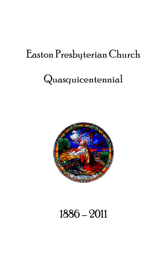# Easton Presbyterian Church

# Quasquicentennial



# 1886 – 2011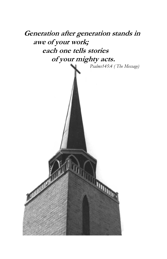

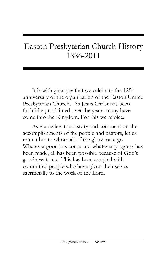# Easton Presbyterian Church History 1886-2011

It is with great joy that we celebrate the  $125<sup>th</sup>$ anniversary of the organization of the Easton United Presbyterian Church. As Jesus Christ has been faithfully proclaimed over the years, many have come into the Kingdom. For this we rejoice.

As we review the history and comment on the accomplishments of the people and pastors, let us remember to whom all of the glory must go. Whatever good has come and whatever progress has been made, all has been possible because of God's goodness to us. This has been coupled with committed people who have given themselves sacrificially to the work of the Lord.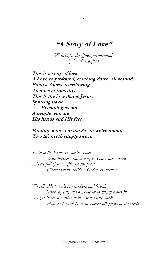# **"A Story of Love"**

*Written for the Quasquicentennial by Mark Lanford*

**This is a story of love. A Love so profound, reaching down, all around From a Source overflowing That never runs dry. This is the love that is Jesus. Spurring us on, Becoming as one A people who are His hands and His feet.**

#### **Pointing a town to the Savior we've found, To a life everlastingly sweet.**

*South of the border in Santa Isabel, With brothers and sisters, its God's love we tell. A Tree full of stars, gifts for the poor; Clothes for the children God loves evermore.*

*We sell odds 'n ends to neighbors and friends Twice a year, and a whole lot of money comes in. We give back to Easton with Awana each week And send youth to camp where faith grows as they seek.*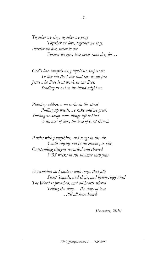*Together we sing, together we pray Together we love, together we stay. Forever we live, never to die Forever we give; love never runs dry, for…*

*God's love compels us, propels us, impels us To live out the Love that sets us all free Jesus who lives is at work in our lives, Sending us out so the blind might see.*

*Painting addresses on curbs in the street Pulling up weeds, we rake and we greet. Smiling we scoop some things left behind With acts of love, the love of God shined.*

*Parties with pumpkins, and songs in the air, Youth singing out in an evening so fair, Outstanding citizens rewarded and cheered VBS weeks in the summer each year.*

*We worship on Sundays with songs that fill; Sweet Sounds, and choir, and hymn-sings until The Word is preached, and all hearts stirred Telling the story… the story of love …'til all have heard.*

*December, 2010*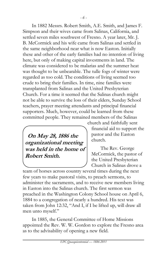In 1882 Messrs. Robert Smith, A.E. Smith, and James F. Simpson and their wives came from Salinas, California, and settled seven miles southwest of Fresno. A year later, Mr. J. B. McCormick and his wife came from Salinas and settled in the same neighborhood near what is now Easton. Initially these and other of the early families had no intention of living here, but only of making capital investments in land. The climate was considered to be malarias and the summer heat was thought to be unbearable. The tulle fogs of winter were regarded as too cold. The conditions of living seemed too crude to bring their families. In time, nine families were transplanted from Salinas and the United Presbyterian Church. For a time it seemed that the Salinas church might not be able to survive the loss of their elders, Sunday School teachers, prayer meeting attendants and principal financial supporters. Much, however, could be learned from these committed people. They remained members of the Salinas

 **On May 28, 1886 the organizational meeting was held in the home of Robert Smith.** 

church and faithfully sent financial aid to support the pastor and the Easton church.

The Rev. George McCormick, the pastor of the United Presbyterian Church in Salinas drove a

team of horses across country several times during the next few years to make pastoral visits, to preach sermons, to administer the sacraments, and to receive new members living in Easton into the Salinas church. The first sermon was preached in the Washington Colony School house on April 6, 1884 to a congregation of nearly a hundred. His text was taken from John 12:32, "And I, if I be lifted up, will draw all men unto myself."

In 1885, the General Committee of Home Missions appointed the Rev. W. W. Gordon to explore the Fresno area as to the advisability of opening a new field.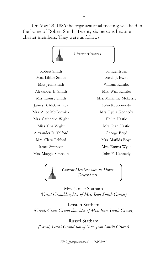On May 28, 1886 the organizational meeting was held in the home of Robert Smith. Twenty six persons became charter members. They were as follows:



Robert Smith Samuel Irwin Mrs. Libbie Smith Sarah J. Irwin Miss Jean Smith William Rambo Alexander E. Smith Mrs. Wm. Rambo James B. McCormick John K. Kennedy Mrs. Alice McCormick Mrs. Lydia Kennedy Mrs. Catherine Wight Philip Hastie Miss Tina Wight Mrs. Jean Hastie Alexander R. Telford George Boyd Mrs. Clara Telford Mrs. Matilda Boyd Mrs. Maggie Simpson John F. Kennedy

Mrs. Louise Smith Mrs. Marianne Mckersie James Simpson Mrs. Emma Wylie

> *Current Members who are Direct Descendants*

Mrs. Janice Statham *(Great Granddaughter of Mrs. Jean Smith Groves)*

Kristen Statham *(Great, Great Grand-daughter of Mrs. Jean Smith Groves)*

Russel Statham *(Great, Great Grand-son of Mrs. Jean Smith Groves)*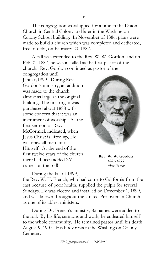The congregation worshipped for a time in the Union Church in Central Colony and later in the Washington Colony School building. In November of 1886, plans were made to build a church which was completed and dedicated, free of debt, on February 20, 1887.

A call was extended to the Rev. W. W. Gordon, and on Feb.21, 1887, he was installed as the first pastor of the church. Rev. Gordon continued as pastor of the

congregation until January1899. During Rev. Gordon's ministry, an addition was made to the church almost as large as the original building. The first organ was purchased about 1888 with some concern that it was an instrument of worship. As the first sermon of Rev. McCormick indicated, when Jesus Christ is lifted up, He will draw all men unto Himself. At the end of the first twelve years of the church there had been added 261 names on the roll!

During the fall of 1899,



**Rev. W. W. Gordon** *1887-1899 First Pastor*

the Rev. W. H. French, who had come to California from the east because of poor health, supplied the pulpit for several Sundays. He was elected and installed on December 1, 1899, and was known throughout the United Presbyterian Church as one of its ablest ministers.

During Dr. French's ministry, 82 names were added to the roll. By his life, sermons and work, he endeared himself to the whole community. He remained pastor until his death August 9, 1907. His body rests in the Washington Colony Cemetery.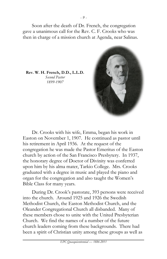Soon after the death of Dr. French, the congregation gave a unanimous call for the Rev. C. F. Crooks who was then in charge of a mission church at Agenda, near Salinas.

**Rev. W. H. French, D.D., L.L.D.** *Second Pastor 1899-1907*



During Dr. Crook's pastorate, 393 persons were received into the church. Around 1925 and 1926 the Swedish Methodist Church, the Easton Methodist Church, and the Oleander Congregational Church all disbanded. Many of these members chose to unite with the United Presbyterian Church. We find the names of a number of the future church leaders coming from these backgrounds. There had been a spirit of Christian unity among these groups as well as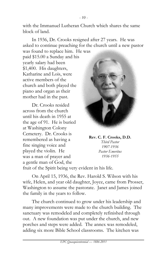with the Immanuel Lutheran Church which shares the same block of land.

In 1936, Dr. Crooks resigned after 27 years. He was asked to continue preaching for the church until a new pastor

was found to replace him. He was paid \$15.00 a Sunday and his yearly salary had been \$1,400. His daughters, Katharine and Lois, were active members of the church and both played the piano and organ as their mother had in the past.

Dr. Crooks resided across from the church until his death in 1955 at the age of 91. He is buried at Washington Colony Cemetery. Dr. Crooks is remembered as having a fine singing voice and played the violin. He was a man of prayer and a gentle man of God, the



**Rev. C. F. Crooks, D.D.** *Third Pastor 1907-1936 Pastor Emeritus 1936-1955*

fruit of the Spirit being very evident in his life.

On April 15, 1936, the Rev. Harold S. Wilson with his wife, Helen, and year old daughter, Joyce, came from Prosser, Washington to assume the pastorate. Janet and James joined the family in the years to follow.

The church continued to grow under his leadership and many improvements were made to the church building. The sanctuary was remodeled and completely refinished through out. A new foundation was put under the church, and new porches and steps were added. The annex was remodeled, adding six more Bible School classrooms. The kitchen was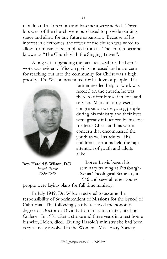rebuilt, and a storeroom and basement were added. Three lots west of the church were purchased to provide parking space and allow for any future expansion. Because of his interest in electronics, the tower of the church was wired to allow for music to be amplified from it. The church became known as "The Church with the Singing Tower".

Along with upgrading the facilities, zeal for the Lord's work was evident. Mission giving increased and a concern for reaching out into the community for Christ was a high priority. Dr. Wilson was noted for his love of people. If a



**Rev. Harold S. Wilson, D.D.** *Fourth Pastor 1936-1949*

farmer needed help or work was needed on the church, he was there to offer himself in love and service. Many in our present congregation were young people during his ministry and their lives were greatly influenced by his love for Jesus Christ and his warm concern that encompassed the youth as well as adults. His children's sermons held the rapt attention of youth and adults alike.

Loren Lewis began his seminary training at Pittsburgh-Xenia Theological Seminary in 1946 and several other young

people were laying plans for full time ministry.

In July 1949, Dr. Wilson resigned to assume the responsibility of Superintendent of Missions for the Synod of California. The following year he received the honorary degree of Doctor of Divinity from his alma mater, Sterling College. In 1981 after a stroke and three years in a rest home his wife, Helen, died. During Harold's ministry she had been very actively involved in the Women's Missionary Society.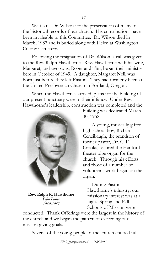We thank Dr. Wilson for the preservation of many of the historical records of our church. His contributions have been invaluable to this Committee. Dr. Wilson died in March, 1987 and is buried along with Helen at Washington Colony Cemetery.

Following the resignation of Dr. Wilson, a call was given to the Rev. Ralph Hawthorne. Rev. Hawthorne with his wife, Margaret, and two sons, Roger and Tim, began their ministry here in October of 1949. A daughter, Margaret Nell, was born just before they left Easton. They had formerly been at the United Presbyterian Church in Portland, Oregon.

When the Hawthornes arrived, plans for the building of our present sanctuary were in their infancy. Under Rev. Hawthorne's leadership, construction was completed and the



**Rev. Ralph R. Hawthorne** *Fifth Pastor 1949-1957*

building was dedicated March 30, 1952.

A young, musically gifted high school boy, Richard Cencibaugh, the grandson of former pastor, Dr. C. F. Crooks, secured the Hanford theater pipe organ for the church. Through his efforts and those of a number of volunteers, work began on the organ.

During Pastor Hawthorne's ministry, our missionary interest was at a high. Spring and Fall Schools of Mission were

conducted. Thank Offerings were the largest in the history of the church and we began the pattern of exceeding our mission giving goals.

Several of the young people of the church entered full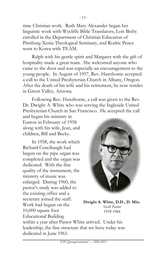time Christian work. Ruth Mary Alexander began her linguistic work with Wycliffe Bible Translators, Lois Bixby enrolled in the Department of Christian Education of Pittsburg-Xenia Theological Seminary, and Rodric Pence went to Korea with TEAM.

Ralph with his gentle spirit and Margaret with the gift of hospitality made a great team. She welcomed anyone who came to the door and was especially an encouragement to the young people. In August of 1957, Rev. Hawthorne accepted a call to the United Presbyterian Church in Albany, Oregon. After the death of his wife and his retirement, he now resides in Green Valley, Arizona.

Following Rev. Hawthorne, a call was given to the Rev. Dr. Dwight A. White who was serving the Ingleside United Presbyterian Church in San Francisco. He accepted the call

and began his ministry in Easton in February of 1958 along with his wife, Jean, and children, Bill and Becky.

In 1958, the work which Richard Cencibaugh had begun on the pipe organ was completed and the organ was dedicated. With the fine quality of the instrument, the ministry of music was enlarged. During 1960, the pastor's study was added to the existing office and a secretary joined the staff. Work had begun on the 10,000 square foot Educational Building



**Dwight A. White, D.D., D. Min.** *Sixth Pastor 1958-1966*

within a year after Pastor White arrived. Under his leadership, the fine structure that we have today was dedicated in June 1961.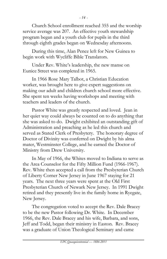Church School enrollment reached 355 and the worship service average was 207. An effective youth stewardship program began and a youth club for pupils in the third through eighth grades began on Wednesday afternoons.

During this time, Alan Pence left for New Guinea to begin work with Wycliffe Bible Translators.

Under Rev. White's leadership, the new manse on Eunice Street was completed in 1965.

In 1966 Rose Mary Talbot, a Christian Education worker, was brought here to give expert suggestions on making our adult and children church school more effective. She spent ten weeks having workshops and meeting with teachers and leaders of the church.

Pastor White was greatly respected and loved. Jean in her quiet way could always be counted on to do anything that she was asked to do. Dwight exhibited an outstanding gift of Administration and preaching as he led this church and served as Stated Clerk of Presbytery. The honorary degree of Doctor of Divinity was conferred on Dwight by his alma mater, Westminster College, and he earned the Doctor of Ministry from Drew University.

In May of 1966, the Whites moved to Indiana to serve as the Area Counselor for the Fifty Million Fund (1966-1967). Rev. White then accepted a call from the Presbyterian Church of Liberty Corner New Jersey in June 1967 staying for 21 years. The next three years were spent at the Old First Presbyterian Church of Newark New Jersey. In 1991 Dwight retired and they presently live in the family home in Ryegate, New Jersey.

The congregation voted to accept the Rev. Dale Bracey to be the new Pastor following Dr. White. In December 1966, the Rev. Dale Bracey and his wife, Barbara, and sons, Jeff and Todd, began their ministry in Easton. Rev. Bracey was a graduate of Union Theological Seminary and came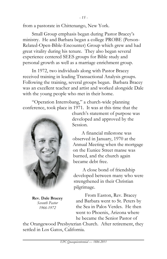Small Group emphasis began during Pastor Bracey's ministry. He and Barbara began a college PROBE (Person-Related-Open-Bible-Encounter) Group which grew and had great vitality during his tenure. They also began several experience centered SEES groups for Bible study and personal growth as well as a marriage enrichment group.

In 1972, two individuals along with Pastor Bracey received training in leading Transactional Analysis groups. Following the training, several groups began. Barbara Bracey was an excellent teacher and artist and worked alongside Dale with the young people who met in their home.

"Operation Interrobang," a church-wide planning conference, took place in 1971. It was at this time that the



**Rev. Dale Bracey** *Seventh Pastor 1966-1972*

church's statement of purpose was developed and approved by the Session.

A financial milestone was observed in January, 1970 at the Annual Meeting when the mortgage on the Eunice Street manse was burned, and the church again became debt free.

A close bond of friendship developed between many who were strengthened in their Christian pilgrimage.

From Easton, Rev. Bracey and Barbara went to St. Peters by the Sea in Palos Verdes. He then went to Phoenix, Arizona where he became the Senior Pastor of

the Orangewood Presbyterian Church. After retirement, they settled in Los Gatos, California.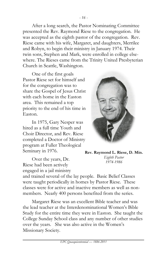After a long search, the Pastor Nominating Committee presented the Rev. Raymond Riese to the congregation. He was accepted as the eighth pastor of the congregation. Rev. Riese came with his wife, Margaret, and daughters, Merrilee and Robyn, to begin their ministry in January 1974. Their twin sons, Stephen and Mark, were enrolled in college elsewhere. The Rieses came from the Trinity United Presbyterian Church in Seattle, Washington.

One of the first goals Pastor Riese set for himself and for the congregation was to share the Gospel of Jesus Christ with each home in the Easton area. This remained a top priority to the end of his time in Easton.

In 1975, Gary Nesper was hired as a full time Youth and Choir Director, and Rev. Riese completed a Doctor of Ministry program at Fuller Theological Seminary in 1976.



**Rev. Raymond L. Riese, D. Min.** *Eighth Pastor 1974-1986*

Over the years, Dr. Riese had been actively engaged in a jail ministry

and trained several of the lay people. Basic Belief Classes were taught periodically in homes by Pastor Riese. These classes were for active and inactive members as well as nonmembers. Nearly 400 persons benefited from the series.

Margaret Riese was an excellent Bible teacher and was the lead teacher at the Interdenominational Women's Bible Study for the entire time they were in Easton. She taught the College Sunday School class and any number of other studies over the years. She was also active in the Women's Missionary Society.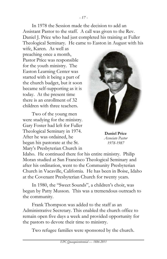In 1978 the Session made the decision to add an Assistant Pastor to the staff. A call was given to the Rev. Daniel J. Price who had just completed his training at Fuller Theological Seminary. He came to Easton in August with his

*- 17 -*

wife, Karen. As well as preaching once a month, Pastor Price was responsible for the youth ministry. The Easton Learning Center was started with it being a part of the church budget, but it soon became self-supporting as it is today. At the present time there is an enrollment of 32 children with three teachers.

Two of the young men were studying for the ministry. Gary Foster had left for Fuller Theological Seminary in 1974. After he was ordained, he began his pastorate at the St. Mary's Presbyterian Church in



**Daniel Price** *Associate Pastor 1978-1987*

Idaho. He continued there for his entire ministry. Philip Moran studied at San Francisco Theological Seminary and after his ordination, went to the Community Presbyterian Church in Vacaville, California. He has been in Boise, Idaho at the Covenant Presbyterian Church for twenty years.

In 1980, the "Sweet Sounds", a children's choir, was begun by Patty Musson. This was a tremendous outreach to the community.

Frank Thompson was added to the staff as an Administrative Secretary. This enabled the church office to remain open five days a week and provided opportunity for the pastors to devote their time to ministry.

Two refugee families were sponsored by the church.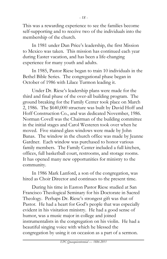This was a rewarding experience to see the families become self-supporting and to receive two of the individuals into the membership of the church.

In 1981 under Dan Price's leadership, the first Mission to Mexico was taken. This mission has continued each year during Easter vacation, and has been a life-changing experience for many youth and adults.

In 1985, Pastor Riese began to train 10 individuals in the Bethel Bible Series. The congregational phase began in October of 1986 with Lilace Turmon leading it.

Under Dr. Riese's leadership plans were made for the third and final phase of the over-all building program. The ground breaking for the Family Center took place on March 2, 1986. The \$640,000 structure was built by David Hoff and Hoff Construction Co., and was dedicated November, 1986. Norman Covell was the Chairman of the building committee in the initial stages and Carol Westeren took over when he moved. Five stained glass windows were made by John Banas. The window in the church office was made by Jeanne Gardner. Each window was purchased to honor various family members. The Family Center included a full kitchen, offices, full basketball court, restrooms, and storage rooms. It has opened many new opportunities for ministry to the community.

In 1986 Mark Lanford, a son of the congregation, was hired as Choir Director and continues to the present time.

During his time in Easton Pastor Riese studied at San Francisco Theological Seminary for his Doctorate in Sacred Theology. Perhaps Dr. Riese's strongest gift was that of Pastor. He had a heart for God's people that was especially evident in his visitation ministry. He had a good sense of humor, was a music major in college and joined instrumentalists in the congregation on his violin. He had a beautiful singing voice with which he blessed the congregation by using it on occasion as a part of a sermon.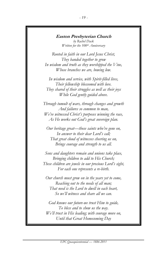#### **Easton Presbyterian Church**

*by Rachel Dack Written for the 100th Anniversary*

*Rooted in faith in our Lord Jesus Christ, They banded together to grow In wisdom and truth as they worshipped the Vine, Whose branches we are, bowing low.* 

*In wisdom and service, with Spirit-filled lives, Their fellowship blossomed with love. They shared of their struggles as well as their joys While God gently guided above.* 

*Through tumult of wars, through changes and growth And failures so common to man, We've witnessed Christ's purposes winning the race, As He works out God's great sovereign plan.* 

*Our heritage great—those saints who've gone on, In answer to their dear Lord's call; That great cloud of witnesses cheering us on, Brings courage and strength to us all.* 

*Sons and daughters remain and unions take place, Bringing children to add to His Church; These children are jewels in our precious Lord's sight, For each one represents a re-birth.* 

*Our church must grow on in the years yet to come, Reaching out to the needs of all man; That need is the Lord to dwell in each heart, So we'll witness and share all we can.* 

*God knows our future-we trust Him to guide, To bless and to show us the way. We'll trust in His leading; with courage move on, Until that Great Homecoming Day*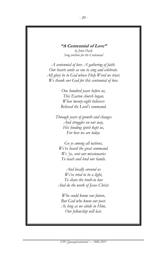#### **"A Centennial of Love"**

*by John Dack Song written for the Centennial* 

*A centennial of love. A gathering of faith. Our hearts unite as one to sing and celebrate. All glory be to God whose Holy Word we trust. We thank our God for this centennial of love.* 

> *One hundred years before us, This Easton church began, When twenty-eight believers Believed the Lord's command.*

*Through years of growth and changes And struggles on our way, His binding spirit kept us, For here we are today.* 

*Go ye among all nations, We've heard the great command. We 'ye, sent our missionaries To teach and lend our hands.*

*And locally around us We've tried to be a light, To share the truth-to love And do the work of Jesus Christ.* 

*Who could know our future, But God who knew our past. As long as we abide in Him, Our fellowship will last.*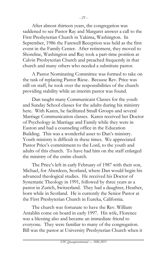After almost thirteen years, the congregation was saddened to see Pastor Ray and Margaret answer a call to the First Presbyterian Church in Yakima, Washington. In September, 1986 the Farewell Reception was held as the first event in the Family Center. After retirement, they moved to Shoreline, Washington and Ray took a part-time position at Calvin Presbyterian Church and preached frequently in that church and many others who needed a substitute pastor.

A Pastor Nominating Committee was formed to take on the task of replacing Pastor Riese. Because Rev. Price was still on staff, he took over the responsibilities of the church providing stability while an interim pastor was found.

Dan taught many Communicant Classes for the youth and Sunday School classes for the adults during his ministry here. With Karen, he facilitated Small Groups and several Marriage Communication classes. Karen received her Doctor of Psychology in Marriage and Family while they were in Easton and had a counseling office in the Education Building. This was a wonderful asset to Dan's ministry. Youth ministry is difficult in these times. We appreciated Pastor Price's commitment to the Lord, to the youth and adults of this church. To have had him on the staff enlarged the ministry of the entire church.

The Price's left in early February of 1987 with their son, Michael, for Aberdeen, Scotland, where Dan would begin his advanced theological studies. He received his Doctor of Systematic Theology in 1991, followed by three years as a pastor in Zurich, Switzerland. They had a daughter, Heather, born while in Scotland. He is currently the Senior Pastor at the First Presbyterian Church in Eureka, California.

The church was fortunate to have the Rev. William Antablin come on board in early 1997. His wife, Florence was a blessing also and became an immediate friend to everyone. They were familiar to many of the congregation. Bill was the pastor at University Presbyterian Church when it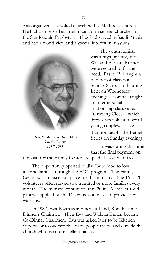was organized as a yoked church with a Methodist church. He had also served as interim pastor in several churches in the San Joaquin Presbytery. They had served in Saudi Arabia and had a world view and a special interest in missions.



**Rev. S. William Antablin** *Interim Pastor 1987-1988*

The youth ministry was a high priority, and Will and Barbara Reimer were secured to fill the need. Pastor Bill taught a number of classes in Sunday School and during Lent on Wednesday evenings. Florence taught an interpersonal relationship class called "Growing Closer" which drew a sizeable number of young couples. Lilace Turmon taught the Bethel Series on Sunday evenings.

It was during this time that the final payment on

the loan for the Family Center was paid. It was debt free!

The opportunity opened to distribute food to low income families through the EOC program. The Family Center was an excellent place for this ministry. The 16 to 20 volunteers often served two hundred or more families every month. The ministry continued until 2006. A smaller food pantry, supplied by the Deacons, continues to provide for walk-ins.

In 1987, Eva Poytress and her husband, Rod, became Dinner's Chairmen. Then Eva and Willetta Ennen became Co-Dinner Chairmen. Eva was asked later to be Kitchen Supervisor to oversee the many people inside and outside the church who use our excellent facility.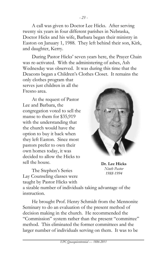A call was given to Doctor Lee Hicks. After serving twenty six years in four different parishes in Nebraska, Doctor Hicks and his wife, Barbara began their ministry in Easton on January 1, 1988. They left behind their son, Kirk, and daughter, Kerry.

During Pastor Hicks' seven years here, the Prayer Chain was re-activated. With the administering of ashes, Ash Wednesday was observed. It was during this time that the Deacons began a Children's Clothes Closet. It remains the only clothes program that serves just children in all the

Fresno area.

At the request of Pastor Lee and Barbara, the congregation voted to sell the manse to them for \$35,919 with the understanding that the church would have the option to buy it back when they left Easton. Since most pastors prefer to own their own homes today, it was decided to allow the Hicks to sell the house.

The Stephen's Series Lay Counseling classes were taught by Pastor Hicks with



**Dr. Lee Hicks** *Ninth Pastor 1988-1994*

a sizable number of individuals taking advantage of the instruction.

He brought Prof. Henry Schmidt from the Mennonite Seminary to do an evaluation of the present method of decision making in the church. He recommended the "Commission" system rather than the present "committee" method. This eliminated the former committees and the larger number of individuals serving on them. It was to be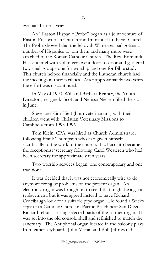evaluated after a year.

An "Easton Hispanic Probe" began as a joint venture of Easton Presbyterian Church and Immanuel Lutheran Church. The Probe showed that the Jehovah Witnesses had gotten a number of Hispanics to join them and many more were attached to the Roman Catholic Church. The Rev. Edmundo Hassentenfel with volunteers went door-to-door and gathered two small groups-one for worship and one for Bible study. This church helped financially and the Lutheran church had the meetings in their facilities. After approximately two years the effort was discontinued.

In May of 1990, Will and Barbara Reimer, the Youth Directors, resigned. Scott and Nerissa Nielsen filled the slot in June.

Steve and Kim Hiett (both veterinarians) with their children went with Christian Veterinary Missions to Cambodia from 1993-1996.

Tom Klein, CPA, was hired as Church Administrator following Frank Thompson who had given himself sacrificially to the work of the church. Liz Faccinto became the receptionist/secretary following Carol Westeren who had been secretary for approximately ten years.

Two worship services began; one contemporary and one traditional.

It was decided that it was not economically wise to do anymore fixing of problems on the present organ. An electronic organ was brought in to see if that might be a good replacement, but it was agreed instead to have Richard Cencibaugh look for a suitable pipe organ. He found a Wicks organ in a Catholic Church in Pacific Beach near San Diego. Richard rebuilt it using selected parts of the former organ. It was set into the old console shell and refinished to match the sanctuary. The Antiphonal organ located in the balcony plays from either keyboard. John Moran and Bob Jeffries did a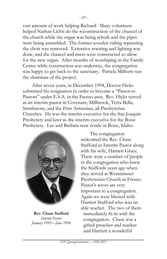vast amount of work helping Richard. Many volunteers helped Nathan Lichti do the reconstruction of the chancel of the church while the organ was being rebuilt and the pipes were being assembled. The former wooden railing separating the choir was removed. Extensive rewiring and lighting was done, and the chancel and risers were constructed to allow for the new organ. After months of worshiping in the Family Center while construction was underway, the congregation was happy to get back to the sanctuary. Pamela Milhorn was the chairman of the project.

After seven years, in December 1994, Doctor Hicks submitted his resignation in order to become a "Pastor to Pastors" under E.S.A. in the Fresno area. Rev. Hicks served as an interim pastor in Covenant, Millbrook, Terra Bella, Strathmore, and the First Armenian, all Presbyterian Churches. He was the interim executive for the San Joaquin Presbytery and later as the interim executive for the Boise Presbytery. Lee and Barbara now reside in Boise, Idaho.



**Rev. Chase Stafford** *Interim Pastor January 1995—June 1996*

The congregation welcomed the Rev. Chase Stafford as Interim Pastor along with his wife, Harriett Grace. There were a number of people in the congregation who knew the Staffords years ago when they served at Westminster Presbyterian Church in Fresno. Pastor's wives are very important to a congregation. Again we were blessed with Harriett Stafford who was an able teacher. The two of them immediately fit in with the congregation. Chase was a gifted preacher and teacher and Harriett a wonderful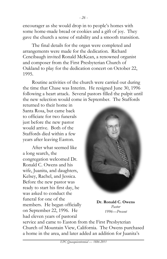encourager as she would drop in to people's homes with some home-made bread or cookies and a gift of joy. They gave the church a sense of stability and a smooth transition.

The final details for the organ were completed and arrangements were made for the dedication. Richard Cencibaugh invited Ronald McKean, a renowned organist and composer from the First Presbyterian Church of Oakland to play for the dedication concert on October 22, 1995.

Routine activities of the church were carried out during the time that Chase was Interim. He resigned June 30, 1996 following a heart attack. Several pastors filled the pulpit until the new selection would come in September. The Staffords

returned to their home in Santa Rosa, but came back to officiate for two funerals just before the new pastor would arrive. Both of the Staffords died within a few years after leaving Easton.

After what seemed like a long search, the congregation welcomed Dr. Ronald C. Owens and his wife, Juanita, and daughters, Kelsey, Rachel, and Jessica. Before the new pastor was ready to start his first day, he was asked to conduct the funeral for one of the members. He began officially on September 22, 1996. He had eleven years of pastoral



**Dr. Ronald C. Owens** *Pastor 1996—Present*

service and came to Easton from the First Presbyterian Church of Mountain View, California. The Owens purchased a home in the area, and later added an addition for Juanita's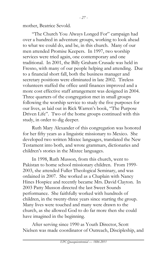mother, Beatrice Sevold.

"The Church You Always Longed For" campaign had over a hundred in adventure groups, working to look ahead to what we could do, and be, in this church. Many of our men attended Promise Keepers. In 1997, two worship services were tried again, one contemporary and one traditional. In 2001, the Billy Graham Crusade was held in Fresno, with many of our people helping and attending. Due to a financial short fall, both the business manager and secretary positions were eliminated in late 2002. Tireless volunteers staffed the office until finances improved and a more cost effective staff arrangement was designed in 2004. Three quarters of the congregation met in small groups following the worship service to study the five purposes for our lives, as laid out in Rick Warren's book, "The Purpose Driven Life". Two of the home groups continued with this study, in order to dig deeper.

Ruth Mary Alexander of this congregation was honored for her fifty years as a linguistic missionary to Mexico. She developed two written Mixtec languages, translated the New Testament into both, and wrote grammars, dictionaries and children's stories in the Mixtec languages.

In 1998, Ruth Musson, from this church, went to Pakistan to home school missionary children. From 1999- 2003, she attended Fuller Theological Seminary, and was ordained in 2007. She worked as a Chaplain with Nancy Hines Hospice and recently became Mrs. David Clayton. In 2003 Patty Musson directed the last Sweet Sounds performance. She faithfully worked with hundreds of children, in the twenty-three years since starting the group. Many lives were touched and many were drawn to the church, as she allowed God to do far more then she could have imagined in the beginning.

After serving since 1990 as Youth Director, Scott Nielsen was made coordinator of Outreach, Discipleship, and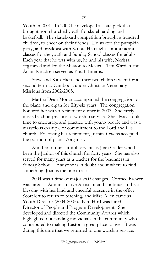Youth in 2001. In 2002 he developed a skate park that brought non-churched youth for skateboarding and basketball. The skateboard competition brought a hundred children, to cheer on their friends. He started the pumpkin party, and breakfast with Santa. He taught communicant classes for the youth and Sunday School classes for adults. Each year that he was with us, he and his wife, Nerissa organized and led the Mission to Mexico. Tim Warden and Adam Knudsen served as Youth Interns.

Steve and Kim Hiett and their two children went for a second term to Cambodia under Christian Veterinary Missions from 2002-2005.

Martha Dean Moran accompanied the congregation on the piano and organ for fifty-six years. The congregation honored her with a retirement dinner in 2003. She rarely missed a choir practice or worship service. She always took time to encourage and practice with young people and was a marvelous example of commitment to the Lord and His church. Following her retirement, Juanita Owens accepted the position of pianist/organist.

Another of our faithful servants is Joan Calder who has been the Janitor of this church for forty years. She has also served for many years as a teacher for the beginners in Sunday School. If anyone is in doubt about where to find something, Joan is the one to ask.

2004 was a time of major staff changes. Cortnee Brewer was hired as Administrative Assistant and continues to be a blessing with her kind and cheerful presence in the office. Scott left to return to teaching, and Mike Allen came as Youth Director (2004-2005). Kim Hoff was hired as Director of People and Program Development. She developed and directed the Community Awards which highlighted outstanding individuals in the community who contributed to making Easton a great place to live. It was during this time that we returned to one worship service.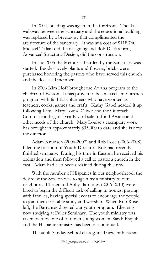In 2004, building was again in the forefront. The flat walkway between the sanctuary and the educational building was replaced by a breezeway that complimented the architecture of the sanctuary. It was at a cost of \$118,760. Michael Tellian did the designing and Bob Dack's firm, Advanced Structural Design, did the construction.

In late 2005 the Memorial Garden by the Sanctuary was started. Besides lovely plants and flowers, bricks were purchased honoring the pastors who have served this church and the deceased members.

In 2006 Kim Hoff brought the Awana program to the children of Easton. It has proven to be an excellent outreach program with faithful volunteers who have worked as teachers, cooks, games and crafts. Kathy Gabel headed it up following Kim. Mary Louise Oliver and the Outreach Commission began a yearly yard sale to fund Awana and other needs of the church. Mary Louise's exemplary work has brought in approximately \$35,000 to date and she is now the director.

Adam Knudsen (2006-2007) and Rob Rose (2006-2008) filled the position of Youth Director. Rob had recently finished seminary. During his time in Easton, he received his ordination and then followed a call to pastor a church in the east. Adam had also been ordained during this time.

With the number of Hispanics in our neighborhood, the desire of the Session was to again try a ministry to our neighbors. Eliecer and Abby Barrantes (2006-2010) were hired to begin the difficult task of calling in homes, praying with families, having special events to encourage the people to join them for bible study and worship. When Rob Rose left, the Barrantes directed our youth program. Eliecer is now studying at Fuller Seminary. The youth ministry was taken over by one of our own young women, Sarah Esquibel and the Hispanic ministry has been discontinued.

The adult Sunday School class gained new enthusiasm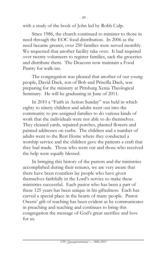Since 1986, the church continued to minister to those in need through the EOC food distribution. In 2006 as the need became greater, over 250 families were served monthly. We requested that another facility take over. It had required over twenty volunteers to register families, sack the groceries and distribute them. The Deacons now maintain a Food Pantry for walk-ins.

*- 30 -*

The congregation was pleased that another of our young people, David Dack, son of Bob and Priscilla Dack, was preparing for the ministry at Pittsburg Xenia Theological Seminary. He will be graduating in June of 2011.

In 2010 a "Faith in Action Sunday" was held in which eighty to ninety children and adults went out into the community to pre-assigned families to do various kinds of work that the individuals were not able to do themselves. They cleaned yards, repaired porches, planted flowers and painted addresses on curbs. The children and a number of adults went to the Rest Home where they conducted a worship service and the children gave the patients a craft that they had made. Those who went out and those who received the help were equally blessed.

In bringing this history of the pastors and the ministries accomplished during their tenures, we are very aware that there have been countless lay people who have given themselves faithfully in the Lord's service to make these ministries successful. Each pastor who has been a part of these 125 years has been unique in his giftedness. Each has carved a special place in the hearts of many people. Pastor Owens' gift of teaching has been evident as he communicates in preaching and teaching and continues to bring this congregation the message of God's great sacrifice and love for us.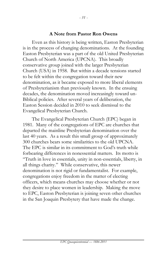### **A Note from Pastor Ron Owens**

Even as this history is being written, Easton Presbyterian is in the process of changing denominations. At the founding Easton Presbyterian was a part of the old United Presbyterian Church of North America (UPCNA). This broadly conservative group joined with the larger Presbyterian Church (USA) in 1958. But within a decade tensions started to be felt within the congregation toward their new denomination, as it became exposed to more liberal elements of Presbyterianism than previously known. In the ensuing decades, the denomination moved increasingly toward un-Biblical policies. After several years of deliberation, the Easton Session decided in 2010 to seek dismissal to the Evangelical Presbyterian Church.

The Evangelical Presbyterian Church (EPC) began in 1981. Many of the congregations of EPC are churches that departed the mainline Presbyterian denomination over the last 40 years. As a result this small group of approximately 300 churches bears some similarities to the old UPCNA. The EPC is similar in its commitment to God's truth while forbearing differences in nonessential matters. Its motto is "Truth in love in essentials, unity in non-essentials, liberty, in all things charity." While conservative, this newer denomination is not rigid or fundamentalist. For example, congregations enjoy freedom in the matter of electing officers, which means churches may choose whether or not they desire to place women in leadership. Making the move to EPC, Easton Presbyterian is joining seven other churches in the San Joaquin Presbytery that have made the change.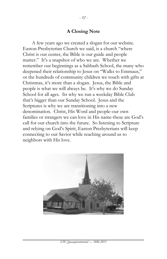### **A Closing Note**

A few years ago we created a slogan for our website. Easton Presbyterian Church we said, is a church "where Christ is our center, the Bible is our guide and people matter." It's a snapshot of who we are. Whether we remember our beginnings as a Sabbath School, the many who deepened their relationship to Jesus on "Walks to Emmaus," or the hundreds of community children we touch with gifts at Christmas, it's more than a slogan. Jesus, the Bible and people is what we will always be. It's why we do Sunday School for all ages. Its why we run a weekday Bible Club that's bigger than our Sunday School. Jesus and the Scriptures is why we are transitioning into a new denomination. Christ, His Word and people-our own families or strangers we can love in His name-these are God's call for our church into the future. So listening to Scripture and relying on God's Spirit, Easton Presbyterians will keep connecting to our Savior while reaching around us to neighbors with His love.

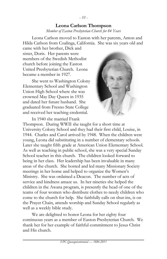# **Leona Carlson Thompson**

*Member of Easton Presbyterian Church for 84 Years*

Leona Carlson moved to Easton with her parents, Anton and Hilda Carlson from Coalinga, California. She was six years old and

came with her brother, Dick and sister, Doris. Her parents were members of the Swedish Methodist church before joining the Easton United Presbyterian Church. Leona became a member in 1927.

She went to Washington Colony Elementary School and Washington Union High School where she was crowned May Day Queen in 1935 and dated her future husband. She graduated from Fresno State College and received her teaching credential.



In 1940 she married Frank Thompson. During WWII she taught for a short time at University Colony School and they had their first child, Louise, in 1944. Charles and Carol arrived by 1948. When the children were young, Leona did substituting in a number of elementary schools. Later she taught fifth grade at American Union Elementary School. As well as teaching in public school, she was a very special Sunday School teacher in this church. The children looked forward to being in her class. Her leadership has been invaluable in many areas of the church. She hosted and led many Missionary Society meetings in her home and helped to organize the Women's Ministry. She was ordained a Deacon. The number of acts of service and kindness amaze us. In her nineties she helped the children in the Awana program, is presently the head of one of the teams of four women who distribute clothes to needy children who come to the church for help. She faithfully calls on shut-ins, is on the Prayer Chain, attends worship and Sunday School regularly as well as a weekly bible study.

We are delighted to honor Leona for her eighty four continuous years as a member of Easton Presbyterian Church. We thank her for her example of faithful commitment to Jesus Christ and His church.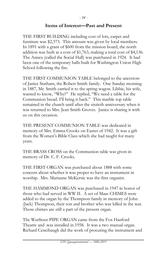## **Items of Interest—Past and Present**

THE FIRST BUILDING including cost of lots, carpet and furniture was \$2,373. This amount was given by local members. In 1891 with a grant of \$600 from the mission board, the north addition was built at a cost of \$1,763, making a total cost of \$4,136. The Annex (called the Social Hall) was purchased in 1924. It had been one of the temporary halls built for Washington Union High School following the fire.

THE FIRST COMMUNION TABLE belonged to the ancestors of Janice Statham, the Robert Smith family. One Sunday morning in 1887, Mr. Smith carried it to the spring wagon. Libbie, his wife, wanted to know, "Why?" He replied, "We need a table for the Communion bread. I'll bring it back." This marble top table remained in the church until after the sixtieth anniversary when it was returned to Mrs. Jean Smith Groves. Janice is sharing it with us on this occasion.

THE PRESENT COMMUNION TABLE was dedicated in memory of Mrs. Emma Crooks on Easter of 1942. It was a gift from the Women's Bible Class which she had taught for many years.

THE BRASS CROSS on the Communion table was given in memory of Dr. C. F. Crooks.

THE FIRST ORGAN was purchased about 1888 with some concern about whether it was proper to have an instrument in worship. Mrs. Marianne McKersie was the first organist.

THE HAMMOND ORGAN was purchased in 1947 in honor of those who had served in WW II. A set of Maas CHIMES were added to the organ by the Thompson family in memory of John (Jack) Thompson, their son and brother who was killed in the war. Those chimes are still a part of the present organ.

The Wurlitzer PIPE ORGAN came from the Fox Hanford Theatre and .was installed in 1958. It was a two manual organ. Richard Cencibaugh did the work of procuring the instrument and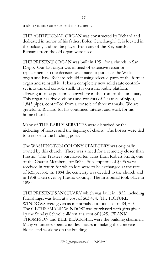THE ANTIPHONAL ORGAN was constructed by Richard and dedicated in honor of his father, Bolen Cencibaugh. It is located in the balcony and can be played from any of the Keyboards. Remains from the old organ were used.

THE PRESENT ORGAN was built in 1951 for a church in San Diego. Our last organ was in need of extensive repair or replacement, so the decision was made to purchase the Wicks organ and have Richard rebuild it using selected parts of the former organ and reinstall it. It has a completely new solid state controlset into the old console shell. It is on a moveable platform allowing it to be positioned anywhere in the front of the sanctuary. This organ has five divisions and consists of 29 ranks of pipes, 1,843 pipes, controlled from a console of three manuals. We are grateful to Richard for his continued interest and work for his home church.

Many of THE EARLY SERVICES were disturbed by the nickering of horses and the jingling of chains. The horses were tied to trees or to the hitching posts.

The WASHINGTON COLONY CEMETERY was originally owned by this church. There was a need for a cemetery closer than Fresno. The Trustees purchased ten acres from Robert Smith, one of the Charter Members, for \$625. Subscriptions of \$395 were received in return for which lots were to be exchanged at the rate of \$25.per lot. In 1894 the cemetery was deeded to the church and in 1938 taken over by Fresno County. The first burial took place in 1890.

THE PRESENT SANCTUARY which was built in 1952, including furnishings, was built at a cost of \$63,474. The PICTURE WINDOWS were given as memorials at a total cost of \$4,500. The GETHSEMANE WINDOW was purchased with gifts given by the Sunday School children at a cost of \$625. FRANK THOMPSON and BILL BLACKSILL were the building chairmen. Many volunteers spent countless hours in making the concrete blocks and working on the building.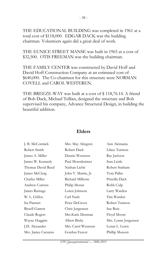THE EDUCATIONAL BUILDING was completed in 1961 at a total cost of \$118,000. EDGAR DACK was the building chairman. Volunteers again did a great deal of work.

THE EUNICE STREET MANSE was built in 1965 at a cost of \$32,500. OTIS FREEMAN was the building chairman.

THE FAMILY CENTER was constructed by David Hoff and David Hoff Construction Company at an estimated cost of \$640,000. The Co-chairmen for this structure were NORMAN COVELL and CAROL WESTEREN.

THE BREEZE-WAY was built at a cost of \$ 118,76.14. A friend of Bob Dack, Michael Tellian, designed the structure and Bob supervised his company, Advance Structural Design, in building the beautiful addition.

| J. B. McCormick        | Mrs. May Almgren    | Ann Alemania         |
|------------------------|---------------------|----------------------|
| Robert Smith           | Robert Dack         | Lilace Turmon        |
| James A. Miller        | Dennis Westeren     | Ray Jackson          |
| James W. Kennedy       | Paul Mesenheimer    | Stan Leisle          |
| Thomas David Reed      | Nathan Lichti       | Robert Statham       |
| James McClurg          | John V. Martin, Jr. | Tom Pallas           |
| Charles Miller         | Richard Milhorn     | Priscilla Dack       |
| Andrew Currens         | Philip Moran        | Robb Culp            |
| James Rarnage          | Loren Johnson       | Larry Warden         |
| W. L. Giffen           | Carl Nash           | Tim Warden           |
| Ira Pannett            | Peter DeGroot       | Robert Turmon        |
| <b>Bissell Garrett</b> | Chris Jorgensen     | Sue Ruiz             |
| Claude Rogers          | Mrs.Katie Denman    | Floyd Moore          |
| Wayne Huggins          | Albert Bixby        | Mrs. Lynne Jorgensen |
| J.D. Alexander         | Mrs. Carol Westeren | Loran L. Lewis       |
| Mrs. Janice Carstens   | Gordon Feaver       | Phillip Musson       |

## **Elders**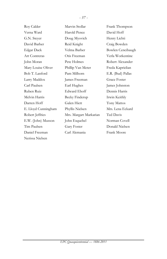| Roy Calder           | Marvin Stollar         | Frank Thompson      |
|----------------------|------------------------|---------------------|
| Verna Ward           | Harold Pence           | David Hoff          |
| G.N. Steyer          | Doug Myovich           | Henry Lichti        |
| David Barber         | Reid Knight            | Craig Bowden        |
| Edgar Dack           | Velma Barber           | Bowlen Cencibaugh   |
| <b>Art Contreras</b> | Otis Freeman           | Verla Workentine    |
| John Moran           | Pete Holmes            | Robert Alexander    |
| Mary Louise Oliver   | Phillip Van Meter      | Freda Kaprielian    |
| Bob T. Lanford       | Pam Milhorn            | E.R. (Bud) Pallas   |
| Larry Maddox         | James Freeman          | <b>Grace Foster</b> |
| Carl Paulsen         | Earl Hughes            | James Johnston      |
| Ruben Ruiz           | <b>Edward Ehoff</b>    | Dennis Harris       |
| Melvin Harris        | Becky Finderup         | Irwin Keithly       |
| Darren Hoff          | Galen Hiett            | Tony Mattos         |
| E. Lloyd Cunningham  | Phyllis Nielsen        | Mrs. Lena Eckard    |
| Robert Jeffries      | Mrs. Margart Markarian | Ted Davis           |
| E.W. (John) Musson   | John Esquebel          | Norman Covell       |
| Tim Paulsen          | <b>Gary Foster</b>     | Donald Nielsen      |
| Daniel Freeman       | Carl Alemania          | Frank Moore         |
| Nerissa Nielsen      |                        |                     |